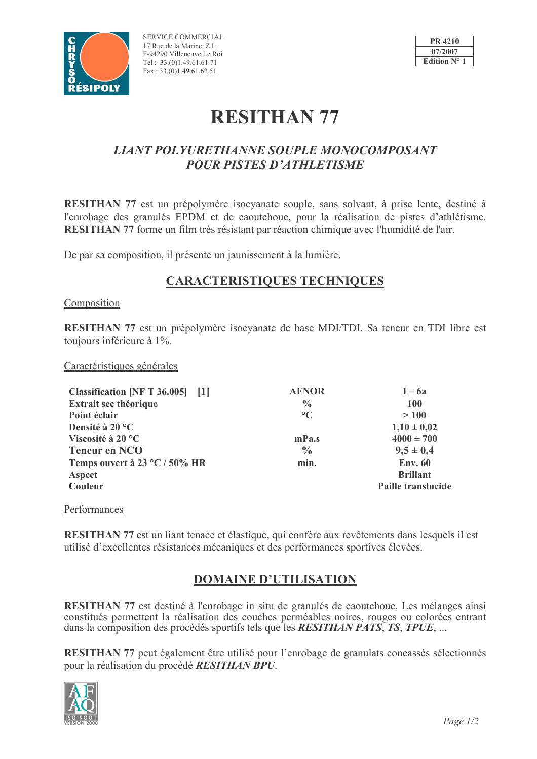

SERVICE COMMERCIAL 17 Rue de la Marine, Z.I. F-94290 Villeneuve Le Roi Tél: 33.(0)1.49.61.61.71 Fax:  $33.(0)1.49.61.62.51$ 



# **RESITHAN 77**

## **LIANT POLYURETHANNE SOUPLE MONOCOMPOSANT POUR PISTES D'ATHLETISME**

**RESITHAN 77** est un prépolymère isocyanate souple, sans solvant, à prise lente, destiné à l'enrobage des granulés EPDM et de caoutchouc, pour la réalisation de pistes d'athlétisme. RESITHAN 77 forme un film très résistant par réaction chimique avec l'humidité de l'air.

De par sa composition, il présente un jaunissement à la lumière.

## **CARACTERISTIQUES TECHNIQUES**

#### Composition

**RESITHAN 77** est un prépolymère isocyanate de base MDI/TDI. Sa teneur en TDI libre est toujours inférieure à 1%.

Caractéristiques générales

| Classification [NF T 36.005] [1] | <b>AFNOR</b>    | $I - 6a$                  |
|----------------------------------|-----------------|---------------------------|
| Extrait sec théorique            | $\frac{0}{0}$   | 100                       |
| Point éclair                     | $\rm ^{\circ}C$ | >100                      |
| Densité à 20 °C                  |                 | $1,10 \pm 0,02$           |
| Viscosité à 20 °C                | mPa.s           | $4000 \pm 700$            |
| <b>Teneur en NCO</b>             | $\frac{0}{0}$   | $9,5 \pm 0,4$             |
| Temps ouvert à 23 °C / 50% HR    | min.            | <b>Env. 60</b>            |
| Aspect                           |                 | <b>Brillant</b>           |
| Couleur                          |                 | <b>Paille translucide</b> |

#### Performances

**RESITHAN 77** est un liant tenace et élastique, qui confère aux revêtements dans lesquels il est utilisé d'excellentes résistances mécaniques et des performances sportives élevées.

## **DOMAINE D'UTILISATION**

RESITHAN 77 est destiné à l'enrobage in situ de granulés de caoutchouc. Les mélanges ainsi constitués permettent la réalisation des couches perméables noires, rouges ou colorées entrant dans la composition des procédés sportifs tels que les RESITHAN PATS, TS, TPUE, ...

RESITHAN 77 peut également être utilisé pour l'enrobage de granulats concassés sélectionnés pour la réalisation du procédé RESITHAN BPU.